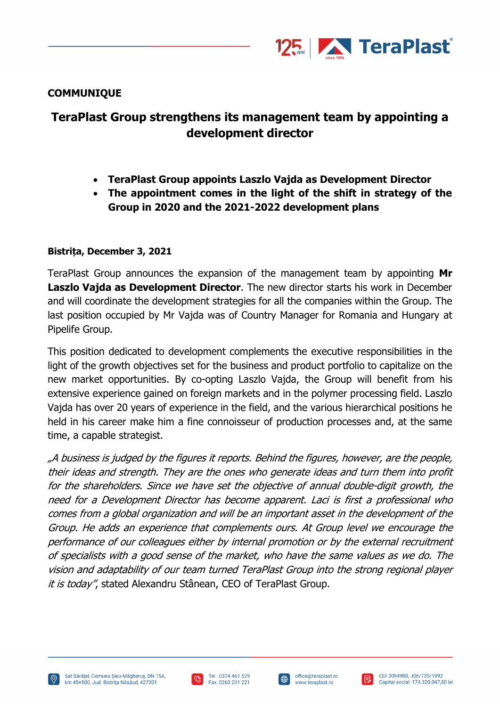

## **COMMUNIQUE**

# **TeraPlast Group strengthens its management team by appointing a development director**

- **TeraPlast Group appoints Laszlo Vajda as Development Director**
- **The appointment comes in the light of the shift in strategy of the Group in 2020 and the 2021-2022 development plans**

## **Bistrița, December 3, 2021**

TeraPlast Group announces the expansion of the management team by appointing **Mr Laszlo Vajda as Development Director**. The new director starts his work in December and will coordinate the development strategies for all the companies within the Group. The last position occupied by Mr Vajda was of Country Manager for Romania and Hungary at Pipelife Group.

This position dedicated to development complements the executive responsibilities in the light of the growth objectives set for the business and product portfolio to capitalize on the new market opportunities. By co-opting Laszlo Vajda, the Group will benefit from his extensive experience gained on foreign markets and in the polymer processing field. Laszlo Vajda has over 20 years of experience in the field, and the various hierarchical positions he held in his career make him a fine connoisseur of production processes and, at the same time, a capable strategist.

"A business is judged by the figures it reports. Behind the figures, however, are the people, their ideas and strength. They are the ones who generate ideas and turn them into profit for the shareholders. Since we have set the objective of annual double-digit growth, the need for a Development Director has become apparent. Laci is first a professional who comes from a global organization and will be an important asset in the development of the Group. He adds an experience that complements ours. At Group level we encourage the performance of our colleagues either by internal promotion or by the external recruitment of specialists with a good sense of the market, who have the same values as we do. The vision and adaptability of our team turned TeraPlast Group into the strong regional player it is today", stated Alexandru Stânean, CEO of TeraPlast Group.





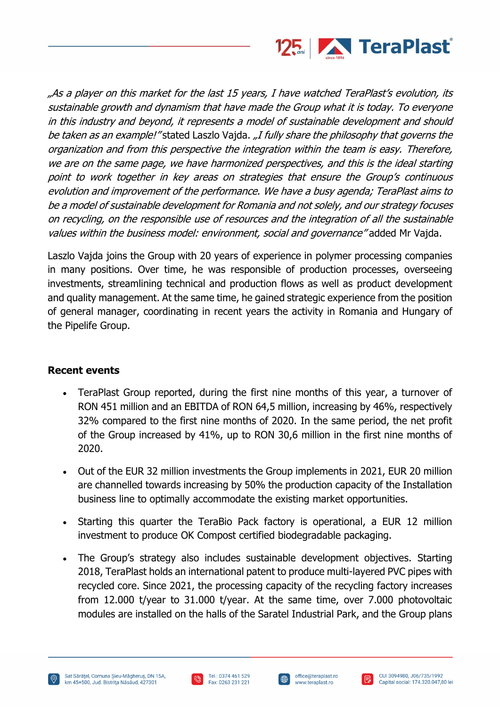

"As a player on this market for the last 15 years, I have watched TeraPlast's evolution, its sustainable growth and dynamism that have made the Group what it is today. To everyone in this industry and beyond, it represents a model of sustainable development and should be taken as an example!" stated Laszlo Vajda. "I fully share the philosophy that governs the organization and from this perspective the integration within the team is easy. Therefore, we are on the same page, we have harmonized perspectives, and this is the ideal starting point to work together in key areas on strategies that ensure the Group'<sup>s</sup> continuous evolution and improvement of the performance. We have a busy agenda; TeraPlast aims to be a model of sustainable development for Romania and not solely, and our strategy focuses on recycling, on the responsible use of resources and the integration of all the sustainable values within the business model: environment, social and governance" added Mr Vajda.

Laszlo Vajda joins the Group with 20 years of experience in polymer processing companies in many positions. Over time, he was responsible of production processes, overseeing investments, streamlining technical and production flows as well as product development and quality management. At the same time, he gained strategic experience from the position of general manager, coordinating in recent years the activity in Romania and Hungary of the Pipelife Group.

## **Recent events**

- TeraPlast Group reported, during the first nine months of this year, a turnover of RON 451 million and an EBITDA of RON 64,5 million, increasing by 46%, respectively 32% compared to the first nine months of 2020. In the same period, the net profit of the Group increased by 41%, up to RON 30,6 million in the first nine months of 2020.
- Out of the EUR 32 million investments the Group implements in 2021, EUR 20 million are channelled towards increasing by 50% the production capacity of the Installation business line to optimally accommodate the existing market opportunities.
- Starting this quarter the TeraBio Pack factory is operational, a EUR 12 million investment to produce OK Compost certified biodegradable packaging.
- The Group's strategy also includes sustainable development objectives. Starting 2018, TeraPlast holds an international patent to produce multi-layered PVC pipes with recycled core. Since 2021, the processing capacity of the recycling factory increases from 12.000 t/year to 31.000 t/year. At the same time, over 7.000 photovoltaic modules are installed on the halls of the Saratel Industrial Park, and the Group plans